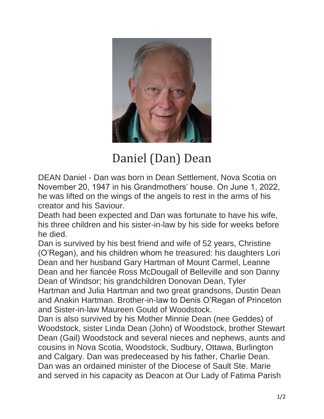

## Daniel (Dan) Dean

DEAN Daniel - Dan was born in Dean Settlement, Nova Scotia on November 20, 1947 in his Grandmothers' house. On June 1, 2022, he was lifted on the wings of the angels to rest in the arms of his creator and his Saviour.

Death had been expected and Dan was fortunate to have his wife, his three children and his sister-in-law by his side for weeks before he died.

Dan is survived by his best friend and wife of 52 years, Christine (O'Regan), and his children whom he treasured: his daughters Lori Dean and her husband Gary Hartman of Mount Carmel, Leanne Dean and her fiancée Ross McDougall of Belleville and son Danny Dean of Windsor; his grandchildren Donovan Dean, Tyler Hartman and Julia Hartman and two great grandsons, Dustin Dean and Anakin Hartman. Brother-in-law to Denis O'Regan of Princeton and Sister-in-law Maureen Gould of Woodstock.

Dan is also survived by his Mother Minnie Dean (nee Geddes) of Woodstock, sister Linda Dean (John) of Woodstock, brother Stewart Dean (Gail) Woodstock and several nieces and nephews, aunts and cousins in Nova Scotia, Woodstock, Sudbury, Ottawa, Burlington and Calgary. Dan was predeceased by his father, Charlie Dean. Dan was an ordained minister of the Diocese of Sault Ste. Marie and served in his capacity as Deacon at Our Lady of Fatima Parish